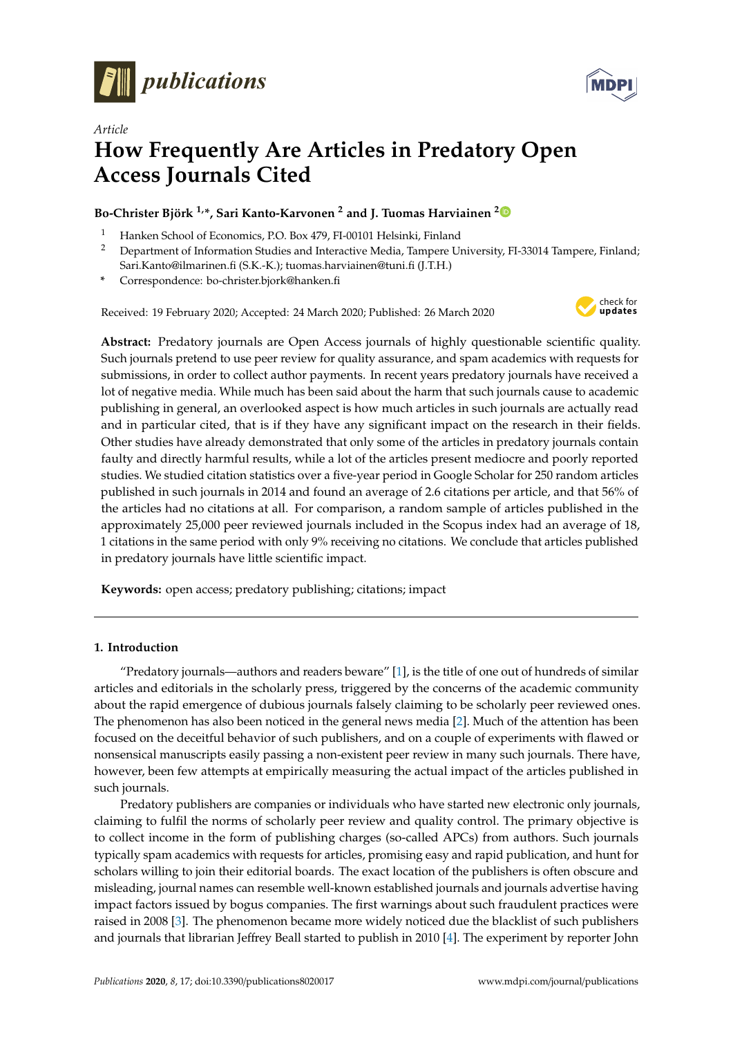



# *Article* **How Frequently Are Articles in Predatory Open Access Journals Cited**

## **Bo-Christer Björk 1,\*, Sari Kanto-Karvonen <sup>2</sup> and J. Tuomas Harviainen [2](https://orcid.org/0000-0002-6085-5663)**

- <sup>1</sup> Hanken School of Economics, P.O. Box 479, FI-00101 Helsinki, Finland<br><sup>2</sup> Department of Information Studies and Interactive Media Tampere II
- <sup>2</sup> Department of Information Studies and Interactive Media, Tampere University, FI-33014 Tampere, Finland; Sari.Kanto@ilmarinen.fi (S.K.-K.); tuomas.harviainen@tuni.fi (J.T.H.)
- **\*** Correspondence: bo-christer.bjork@hanken.fi

Received: 19 February 2020; Accepted: 24 March 2020; Published: 26 March 2020



**Abstract:** Predatory journals are Open Access journals of highly questionable scientific quality. Such journals pretend to use peer review for quality assurance, and spam academics with requests for submissions, in order to collect author payments. In recent years predatory journals have received a lot of negative media. While much has been said about the harm that such journals cause to academic publishing in general, an overlooked aspect is how much articles in such journals are actually read and in particular cited, that is if they have any significant impact on the research in their fields. Other studies have already demonstrated that only some of the articles in predatory journals contain faulty and directly harmful results, while a lot of the articles present mediocre and poorly reported studies. We studied citation statistics over a five-year period in Google Scholar for 250 random articles published in such journals in 2014 and found an average of 2.6 citations per article, and that 56% of the articles had no citations at all. For comparison, a random sample of articles published in the approximately 25,000 peer reviewed journals included in the Scopus index had an average of 18, 1 citations in the same period with only 9% receiving no citations. We conclude that articles published in predatory journals have little scientific impact.

**Keywords:** open access; predatory publishing; citations; impact

### **1. Introduction**

"Predatory journals—authors and readers beware" [\[1\]](#page-9-0), is the title of one out of hundreds of similar articles and editorials in the scholarly press, triggered by the concerns of the academic community about the rapid emergence of dubious journals falsely claiming to be scholarly peer reviewed ones. The phenomenon has also been noticed in the general news media [\[2\]](#page-9-1). Much of the attention has been focused on the deceitful behavior of such publishers, and on a couple of experiments with flawed or nonsensical manuscripts easily passing a non-existent peer review in many such journals. There have, however, been few attempts at empirically measuring the actual impact of the articles published in such journals.

Predatory publishers are companies or individuals who have started new electronic only journals, claiming to fulfil the norms of scholarly peer review and quality control. The primary objective is to collect income in the form of publishing charges (so-called APCs) from authors. Such journals typically spam academics with requests for articles, promising easy and rapid publication, and hunt for scholars willing to join their editorial boards. The exact location of the publishers is often obscure and misleading, journal names can resemble well-known established journals and journals advertise having impact factors issued by bogus companies. The first warnings about such fraudulent practices were raised in 2008 [\[3\]](#page-9-2). The phenomenon became more widely noticed due the blacklist of such publishers and journals that librarian Jeffrey Beall started to publish in 2010 [\[4\]](#page-9-3). The experiment by reporter John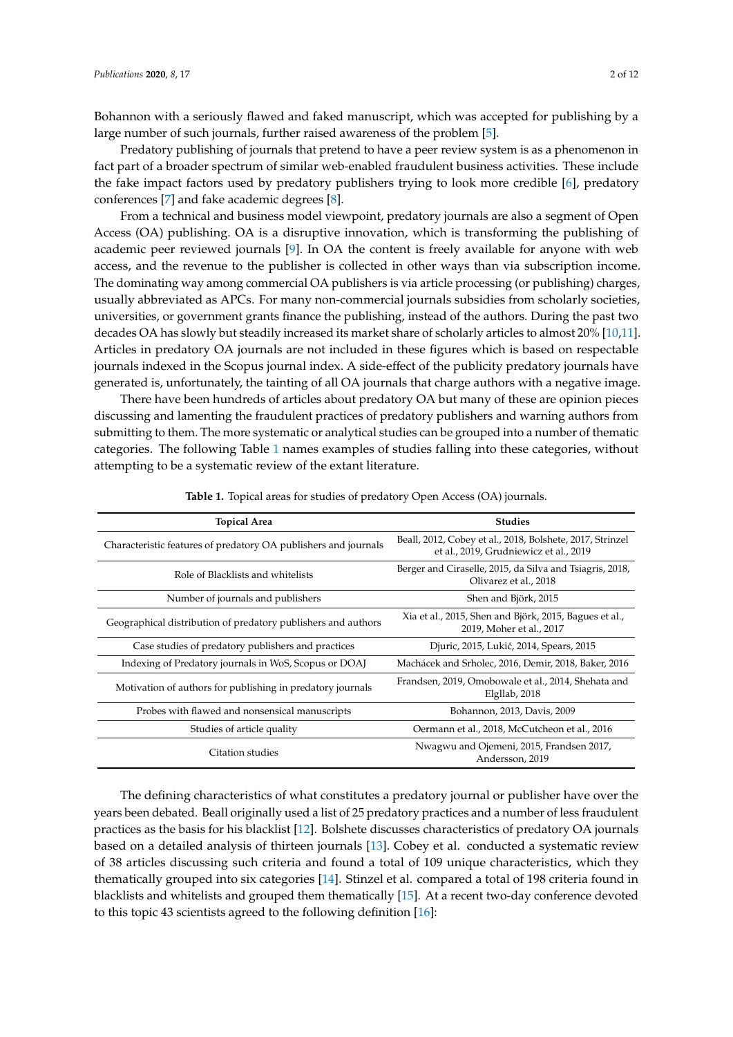Bohannon with a seriously flawed and faked manuscript, which was accepted for publishing by a large number of such journals, further raised awareness of the problem [\[5\]](#page-9-4).

Predatory publishing of journals that pretend to have a peer review system is as a phenomenon in fact part of a broader spectrum of similar web-enabled fraudulent business activities. These include the fake impact factors used by predatory publishers trying to look more credible [\[6\]](#page-9-5), predatory conferences [\[7\]](#page-9-6) and fake academic degrees [\[8\]](#page-9-7).

From a technical and business model viewpoint, predatory journals are also a segment of Open Access (OA) publishing. OA is a disruptive innovation, which is transforming the publishing of academic peer reviewed journals [\[9\]](#page-9-8). In OA the content is freely available for anyone with web access, and the revenue to the publisher is collected in other ways than via subscription income. The dominating way among commercial OA publishers is via article processing (or publishing) charges, usually abbreviated as APCs. For many non-commercial journals subsidies from scholarly societies, universities, or government grants finance the publishing, instead of the authors. During the past two decades OA has slowly but steadily increased its market share of scholarly articles to almost 20% [\[10](#page-9-9)[,11\]](#page-9-10). Articles in predatory OA journals are not included in these figures which is based on respectable journals indexed in the Scopus journal index. A side-effect of the publicity predatory journals have generated is, unfortunately, the tainting of all OA journals that charge authors with a negative image.

There have been hundreds of articles about predatory OA but many of these are opinion pieces discussing and lamenting the fraudulent practices of predatory publishers and warning authors from submitting to them. The more systematic or analytical studies can be grouped into a number of thematic categories. The following Table [1](#page-1-0) names examples of studies falling into these categories, without attempting to be a systematic review of the extant literature.

<span id="page-1-0"></span>

| <b>Topical Area</b>                                             | <b>Studies</b>                                                                                      |  |
|-----------------------------------------------------------------|-----------------------------------------------------------------------------------------------------|--|
| Characteristic features of predatory OA publishers and journals | Beall, 2012, Cobey et al., 2018, Bolshete, 2017, Strinzel<br>et al., 2019, Grudniewicz et al., 2019 |  |
| Role of Blacklists and whitelists                               | Berger and Ciraselle, 2015, da Silva and Tsiagris, 2018,<br>Olivarez et al., 2018                   |  |
| Number of journals and publishers                               | Shen and Björk, 2015                                                                                |  |
| Geographical distribution of predatory publishers and authors   | Xia et al., 2015, Shen and Björk, 2015, Bagues et al.,<br>2019, Moher et al., 2017                  |  |
| Case studies of predatory publishers and practices              | Djuric, 2015, Lukić, 2014, Spears, 2015                                                             |  |
| Indexing of Predatory journals in WoS, Scopus or DOAJ           | Machácek and Srholec, 2016, Demir, 2018, Baker, 2016                                                |  |
| Motivation of authors for publishing in predatory journals      | Frandsen, 2019, Omobowale et al., 2014, Shehata and<br>Elgllab, 2018                                |  |
| Probes with flawed and nonsensical manuscripts                  | Bohannon, 2013, Davis, 2009                                                                         |  |
| Studies of article quality                                      | Oermann et al., 2018, McCutcheon et al., 2016                                                       |  |
| Citation studies                                                | Nwagwu and Ojemeni, 2015, Frandsen 2017,<br>Andersson, 2019                                         |  |

**Table 1.** Topical areas for studies of predatory Open Access (OA) journals.

The defining characteristics of what constitutes a predatory journal or publisher have over the years been debated. Beall originally used a list of 25 predatory practices and a number of less fraudulent practices as the basis for his blacklist [\[12\]](#page-9-11). Bolshete discusses characteristics of predatory OA journals based on a detailed analysis of thirteen journals [\[13\]](#page-9-12). Cobey et al. conducted a systematic review of 38 articles discussing such criteria and found a total of 109 unique characteristics, which they thematically grouped into six categories [\[14\]](#page-9-13). Stinzel et al. compared a total of 198 criteria found in blacklists and whitelists and grouped them thematically [\[15\]](#page-9-14). At a recent two-day conference devoted to this topic 43 scientists agreed to the following definition [\[16\]](#page-10-0):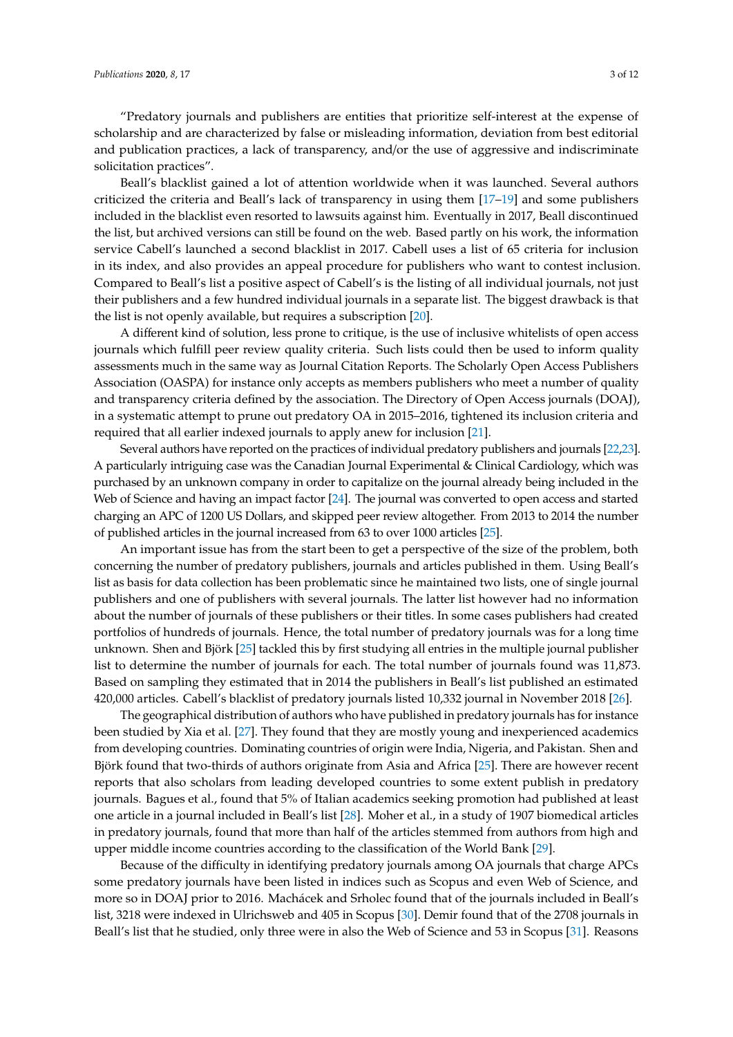"Predatory journals and publishers are entities that prioritize self-interest at the expense of scholarship and are characterized by false or misleading information, deviation from best editorial and publication practices, a lack of transparency, and/or the use of aggressive and indiscriminate solicitation practices".

Beall's blacklist gained a lot of attention worldwide when it was launched. Several authors criticized the criteria and Beall's lack of transparency in using them [\[17](#page-10-1)[–19\]](#page-10-2) and some publishers included in the blacklist even resorted to lawsuits against him. Eventually in 2017, Beall discontinued the list, but archived versions can still be found on the web. Based partly on his work, the information service Cabell's launched a second blacklist in 2017. Cabell uses a list of 65 criteria for inclusion in its index, and also provides an appeal procedure for publishers who want to contest inclusion. Compared to Beall's list a positive aspect of Cabell's is the listing of all individual journals, not just their publishers and a few hundred individual journals in a separate list. The biggest drawback is that the list is not openly available, but requires a subscription [\[20\]](#page-10-3).

A different kind of solution, less prone to critique, is the use of inclusive whitelists of open access journals which fulfill peer review quality criteria. Such lists could then be used to inform quality assessments much in the same way as Journal Citation Reports. The Scholarly Open Access Publishers Association (OASPA) for instance only accepts as members publishers who meet a number of quality and transparency criteria defined by the association. The Directory of Open Access journals (DOAJ), in a systematic attempt to prune out predatory OA in 2015–2016, tightened its inclusion criteria and required that all earlier indexed journals to apply anew for inclusion [\[21\]](#page-10-4).

Several authors have reported on the practices of individual predatory publishers and journals [\[22](#page-10-5)[,23\]](#page-10-6). A particularly intriguing case was the Canadian Journal Experimental & Clinical Cardiology, which was purchased by an unknown company in order to capitalize on the journal already being included in the Web of Science and having an impact factor [\[24\]](#page-10-7). The journal was converted to open access and started charging an APC of 1200 US Dollars, and skipped peer review altogether. From 2013 to 2014 the number of published articles in the journal increased from 63 to over 1000 articles [\[25\]](#page-10-8).

An important issue has from the start been to get a perspective of the size of the problem, both concerning the number of predatory publishers, journals and articles published in them. Using Beall's list as basis for data collection has been problematic since he maintained two lists, one of single journal publishers and one of publishers with several journals. The latter list however had no information about the number of journals of these publishers or their titles. In some cases publishers had created portfolios of hundreds of journals. Hence, the total number of predatory journals was for a long time unknown. Shen and Björk [\[25\]](#page-10-8) tackled this by first studying all entries in the multiple journal publisher list to determine the number of journals for each. The total number of journals found was 11,873. Based on sampling they estimated that in 2014 the publishers in Beall's list published an estimated 420,000 articles. Cabell's blacklist of predatory journals listed 10,332 journal in November 2018 [\[26\]](#page-10-9).

The geographical distribution of authors who have published in predatory journals has for instance been studied by Xia et al. [\[27\]](#page-10-10). They found that they are mostly young and inexperienced academics from developing countries. Dominating countries of origin were India, Nigeria, and Pakistan. Shen and Björk found that two-thirds of authors originate from Asia and Africa [\[25\]](#page-10-8). There are however recent reports that also scholars from leading developed countries to some extent publish in predatory journals. Bagues et al., found that 5% of Italian academics seeking promotion had published at least one article in a journal included in Beall's list [\[28\]](#page-10-11). Moher et al., in a study of 1907 biomedical articles in predatory journals, found that more than half of the articles stemmed from authors from high and upper middle income countries according to the classification of the World Bank [\[29\]](#page-10-12).

Because of the difficulty in identifying predatory journals among OA journals that charge APCs some predatory journals have been listed in indices such as Scopus and even Web of Science, and more so in DOAJ prior to 2016. Machácek and Srholec found that of the journals included in Beall's list, 3218 were indexed in Ulrichsweb and 405 in Scopus [\[30\]](#page-10-13). Demir found that of the 2708 journals in Beall's list that he studied, only three were in also the Web of Science and 53 in Scopus [\[31\]](#page-10-14). Reasons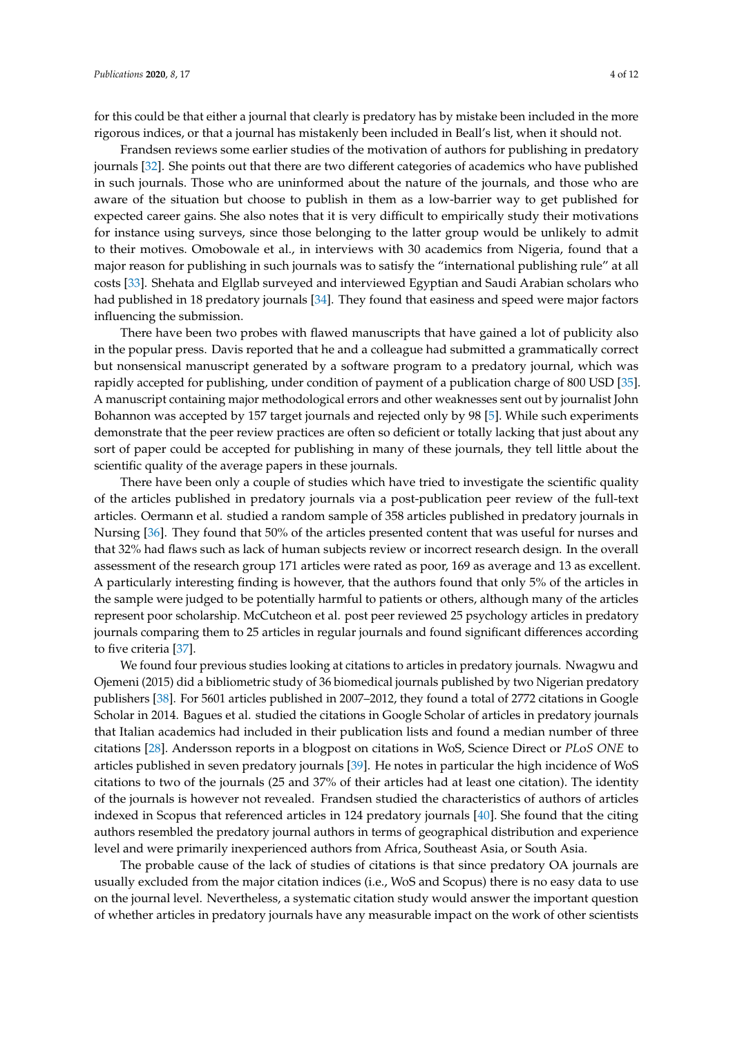for this could be that either a journal that clearly is predatory has by mistake been included in the more rigorous indices, or that a journal has mistakenly been included in Beall's list, when it should not.

Frandsen reviews some earlier studies of the motivation of authors for publishing in predatory journals [\[32\]](#page-10-15). She points out that there are two different categories of academics who have published in such journals. Those who are uninformed about the nature of the journals, and those who are aware of the situation but choose to publish in them as a low-barrier way to get published for expected career gains. She also notes that it is very difficult to empirically study their motivations for instance using surveys, since those belonging to the latter group would be unlikely to admit to their motives. Omobowale et al., in interviews with 30 academics from Nigeria, found that a major reason for publishing in such journals was to satisfy the "international publishing rule" at all costs [\[33\]](#page-10-16). Shehata and Elgllab surveyed and interviewed Egyptian and Saudi Arabian scholars who had published in 18 predatory journals [\[34\]](#page-10-17). They found that easiness and speed were major factors influencing the submission.

There have been two probes with flawed manuscripts that have gained a lot of publicity also in the popular press. Davis reported that he and a colleague had submitted a grammatically correct but nonsensical manuscript generated by a software program to a predatory journal, which was rapidly accepted for publishing, under condition of payment of a publication charge of 800 USD [\[35\]](#page-10-18). A manuscript containing major methodological errors and other weaknesses sent out by journalist John Bohannon was accepted by 157 target journals and rejected only by 98 [\[5\]](#page-9-4). While such experiments demonstrate that the peer review practices are often so deficient or totally lacking that just about any sort of paper could be accepted for publishing in many of these journals, they tell little about the scientific quality of the average papers in these journals.

There have been only a couple of studies which have tried to investigate the scientific quality of the articles published in predatory journals via a post-publication peer review of the full-text articles. Oermann et al. studied a random sample of 358 articles published in predatory journals in Nursing [\[36\]](#page-10-19). They found that 50% of the articles presented content that was useful for nurses and that 32% had flaws such as lack of human subjects review or incorrect research design. In the overall assessment of the research group 171 articles were rated as poor, 169 as average and 13 as excellent. A particularly interesting finding is however, that the authors found that only 5% of the articles in the sample were judged to be potentially harmful to patients or others, although many of the articles represent poor scholarship. McCutcheon et al. post peer reviewed 25 psychology articles in predatory journals comparing them to 25 articles in regular journals and found significant differences according to five criteria [\[37\]](#page-10-20).

We found four previous studies looking at citations to articles in predatory journals. Nwagwu and Ojemeni (2015) did a bibliometric study of 36 biomedical journals published by two Nigerian predatory publishers [\[38\]](#page-11-0). For 5601 articles published in 2007–2012, they found a total of 2772 citations in Google Scholar in 2014. Bagues et al. studied the citations in Google Scholar of articles in predatory journals that Italian academics had included in their publication lists and found a median number of three citations [\[28\]](#page-10-11). Andersson reports in a blogpost on citations in WoS, Science Direct or *PL*o*S ONE* to articles published in seven predatory journals [\[39\]](#page-11-1). He notes in particular the high incidence of WoS citations to two of the journals (25 and 37% of their articles had at least one citation). The identity of the journals is however not revealed. Frandsen studied the characteristics of authors of articles indexed in Scopus that referenced articles in 124 predatory journals [\[40\]](#page-11-2). She found that the citing authors resembled the predatory journal authors in terms of geographical distribution and experience level and were primarily inexperienced authors from Africa, Southeast Asia, or South Asia.

The probable cause of the lack of studies of citations is that since predatory OA journals are usually excluded from the major citation indices (i.e., WoS and Scopus) there is no easy data to use on the journal level. Nevertheless, a systematic citation study would answer the important question of whether articles in predatory journals have any measurable impact on the work of other scientists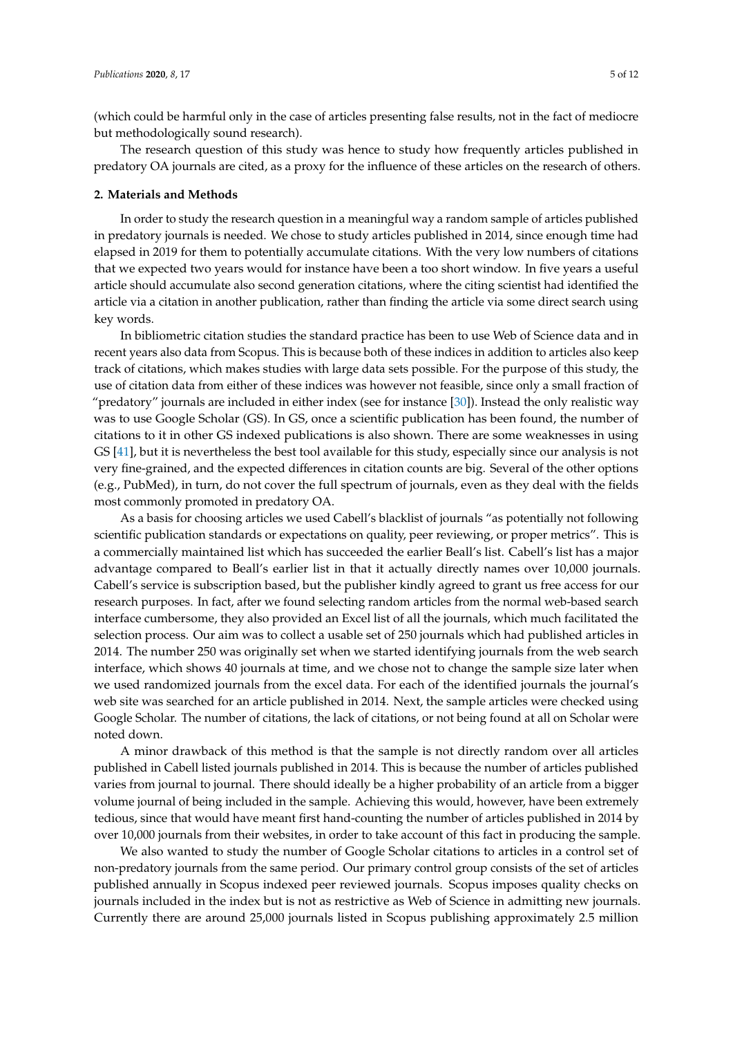(which could be harmful only in the case of articles presenting false results, not in the fact of mediocre but methodologically sound research).

The research question of this study was hence to study how frequently articles published in predatory OA journals are cited, as a proxy for the influence of these articles on the research of others.

#### **2. Materials and Methods**

In order to study the research question in a meaningful way a random sample of articles published in predatory journals is needed. We chose to study articles published in 2014, since enough time had elapsed in 2019 for them to potentially accumulate citations. With the very low numbers of citations that we expected two years would for instance have been a too short window. In five years a useful article should accumulate also second generation citations, where the citing scientist had identified the article via a citation in another publication, rather than finding the article via some direct search using key words.

In bibliometric citation studies the standard practice has been to use Web of Science data and in recent years also data from Scopus. This is because both of these indices in addition to articles also keep track of citations, which makes studies with large data sets possible. For the purpose of this study, the use of citation data from either of these indices was however not feasible, since only a small fraction of "predatory" journals are included in either index (see for instance [\[30\]](#page-10-13)). Instead the only realistic way was to use Google Scholar (GS). In GS, once a scientific publication has been found, the number of citations to it in other GS indexed publications is also shown. There are some weaknesses in using GS [\[41\]](#page-11-3), but it is nevertheless the best tool available for this study, especially since our analysis is not very fine-grained, and the expected differences in citation counts are big. Several of the other options (e.g., PubMed), in turn, do not cover the full spectrum of journals, even as they deal with the fields most commonly promoted in predatory OA.

As a basis for choosing articles we used Cabell's blacklist of journals "as potentially not following scientific publication standards or expectations on quality, peer reviewing, or proper metrics". This is a commercially maintained list which has succeeded the earlier Beall's list. Cabell's list has a major advantage compared to Beall's earlier list in that it actually directly names over 10,000 journals. Cabell's service is subscription based, but the publisher kindly agreed to grant us free access for our research purposes. In fact, after we found selecting random articles from the normal web-based search interface cumbersome, they also provided an Excel list of all the journals, which much facilitated the selection process. Our aim was to collect a usable set of 250 journals which had published articles in 2014. The number 250 was originally set when we started identifying journals from the web search interface, which shows 40 journals at time, and we chose not to change the sample size later when we used randomized journals from the excel data. For each of the identified journals the journal's web site was searched for an article published in 2014. Next, the sample articles were checked using Google Scholar. The number of citations, the lack of citations, or not being found at all on Scholar were noted down.

A minor drawback of this method is that the sample is not directly random over all articles published in Cabell listed journals published in 2014. This is because the number of articles published varies from journal to journal. There should ideally be a higher probability of an article from a bigger volume journal of being included in the sample. Achieving this would, however, have been extremely tedious, since that would have meant first hand-counting the number of articles published in 2014 by over 10,000 journals from their websites, in order to take account of this fact in producing the sample.

We also wanted to study the number of Google Scholar citations to articles in a control set of non-predatory journals from the same period. Our primary control group consists of the set of articles published annually in Scopus indexed peer reviewed journals. Scopus imposes quality checks on journals included in the index but is not as restrictive as Web of Science in admitting new journals. Currently there are around 25,000 journals listed in Scopus publishing approximately 2.5 million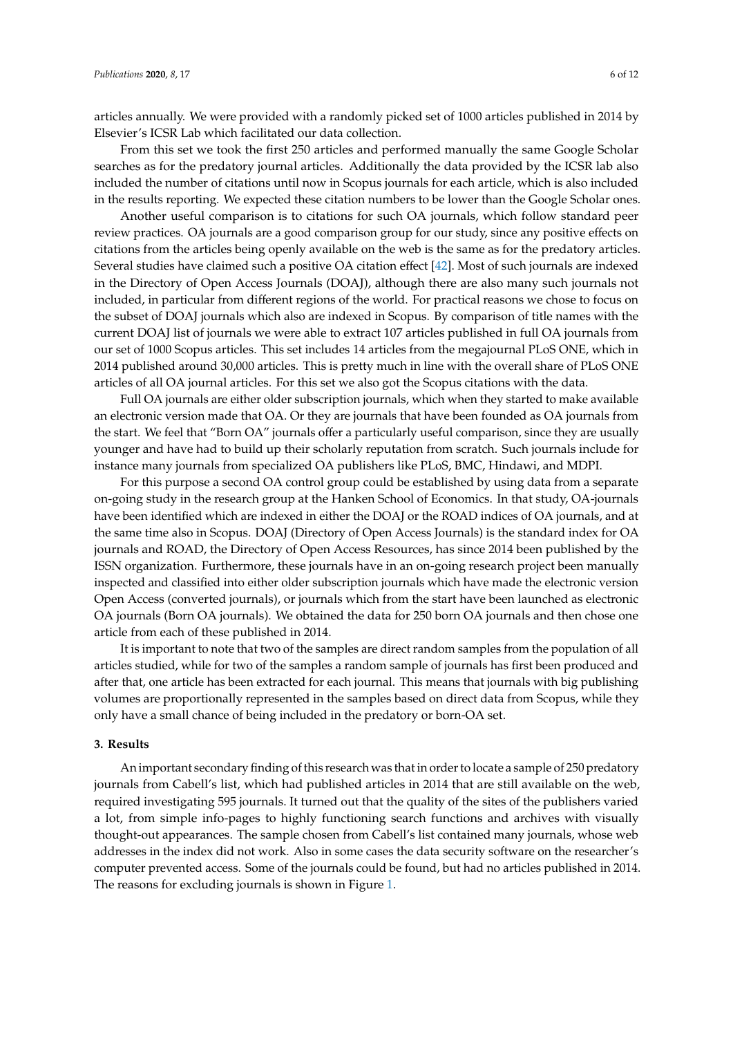articles annually. We were provided with a randomly picked set of 1000 articles published in 2014 by Elsevier's ICSR Lab which facilitated our data collection.

From this set we took the first 250 articles and performed manually the same Google Scholar searches as for the predatory journal articles. Additionally the data provided by the ICSR lab also included the number of citations until now in Scopus journals for each article, which is also included in the results reporting. We expected these citation numbers to be lower than the Google Scholar ones.

Another useful comparison is to citations for such OA journals, which follow standard peer review practices. OA journals are a good comparison group for our study, since any positive effects on citations from the articles being openly available on the web is the same as for the predatory articles. Several studies have claimed such a positive OA citation effect [\[42\]](#page-11-4). Most of such journals are indexed in the Directory of Open Access Journals (DOAJ), although there are also many such journals not included, in particular from different regions of the world. For practical reasons we chose to focus on the subset of DOAJ journals which also are indexed in Scopus. By comparison of title names with the current DOAJ list of journals we were able to extract 107 articles published in full OA journals from our set of 1000 Scopus articles. This set includes 14 articles from the megajournal PLoS ONE, which in 2014 published around 30,000 articles. This is pretty much in line with the overall share of PLoS ONE articles of all OA journal articles. For this set we also got the Scopus citations with the data.

Full OA journals are either older subscription journals, which when they started to make available an electronic version made that OA. Or they are journals that have been founded as OA journals from the start. We feel that "Born OA" journals offer a particularly useful comparison, since they are usually younger and have had to build up their scholarly reputation from scratch. Such journals include for instance many journals from specialized OA publishers like PLoS, BMC, Hindawi, and MDPI.

For this purpose a second OA control group could be established by using data from a separate on-going study in the research group at the Hanken School of Economics. In that study, OA-journals have been identified which are indexed in either the DOAJ or the ROAD indices of OA journals, and at the same time also in Scopus. DOAJ (Directory of Open Access Journals) is the standard index for OA journals and ROAD, the Directory of Open Access Resources, has since 2014 been published by the ISSN organization. Furthermore, these journals have in an on-going research project been manually inspected and classified into either older subscription journals which have made the electronic version Open Access (converted journals), or journals which from the start have been launched as electronic OA journals (Born OA journals). We obtained the data for 250 born OA journals and then chose one article from each of these published in 2014.

It is important to note that two of the samples are direct random samples from the population of all articles studied, while for two of the samples a random sample of journals has first been produced and after that, one article has been extracted for each journal. This means that journals with big publishing volumes are proportionally represented in the samples based on direct data from Scopus, while they only have a small chance of being included in the predatory or born-OA set.

#### **3. Results**

An important secondary finding of this research was that in order to locate a sample of 250 predatory journals from Cabell's list, which had published articles in 2014 that are still available on the web, required investigating 595 journals. It turned out that the quality of the sites of the publishers varied a lot, from simple info-pages to highly functioning search functions and archives with visually thought-out appearances. The sample chosen from Cabell's list contained many journals, whose web addresses in the index did not work. Also in some cases the data security software on the researcher's computer prevented access. Some of the journals could be found, but had no articles published in 2014. The reasons for excluding journals is shown in Figure [1.](#page-6-0)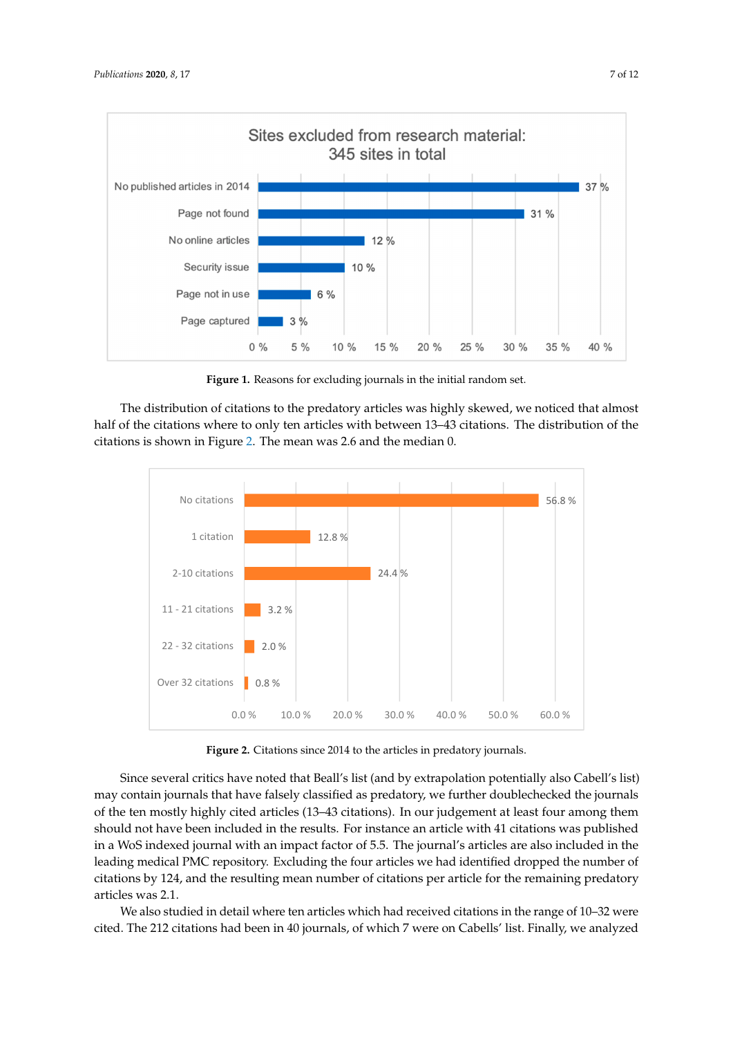<span id="page-6-0"></span>

Figure 1. Reasons for excluding journals in the initial random set.

The distribution of citations to the predatory articles was highly skewed, we noticed that almost half of the citations where to only ten articles with between 13–43 citations. The distribution of the<br>citations is shown in Figure 2. The mean was 2.6 and the median 0. citations is shown in Figure 2. The mean was 2.6 and the median 0. citations is shown in Figure 2. The mean was 2.6 and the median 0.

<span id="page-6-1"></span>

Figure 2. Citations since 2014 to the articles in predatory journals.

Since several critics have noted that Beall's list (and by extrapolation potentially also Cabell's list) may contain journals that have falsely classified as predatory, we further doublechecked the journals of the ten mostly highly cited articles (13-43 citations). In our judgement at least four among them should not have been included in the results. For instance an article with 41 citations was published in a WoS indexed journal with an impact factor of 5.5. The journal's articles are also included in the leading medical PMC repository. Excluding the four articles we had identified dropped the number of citations by 124, and the resulting mean number of citations per article for the remaining predatory  $\text{articles was 2.1.}}$ 

We also studied in detail where ten articles which had received citations in the range of 10–32 were cited. The 212 citations had been in 40 journals, of which 7 were on Cabells' list. Finally, we analyzed analyzed the reference lists of the citing articles, which contained a total of 809 references. Of those,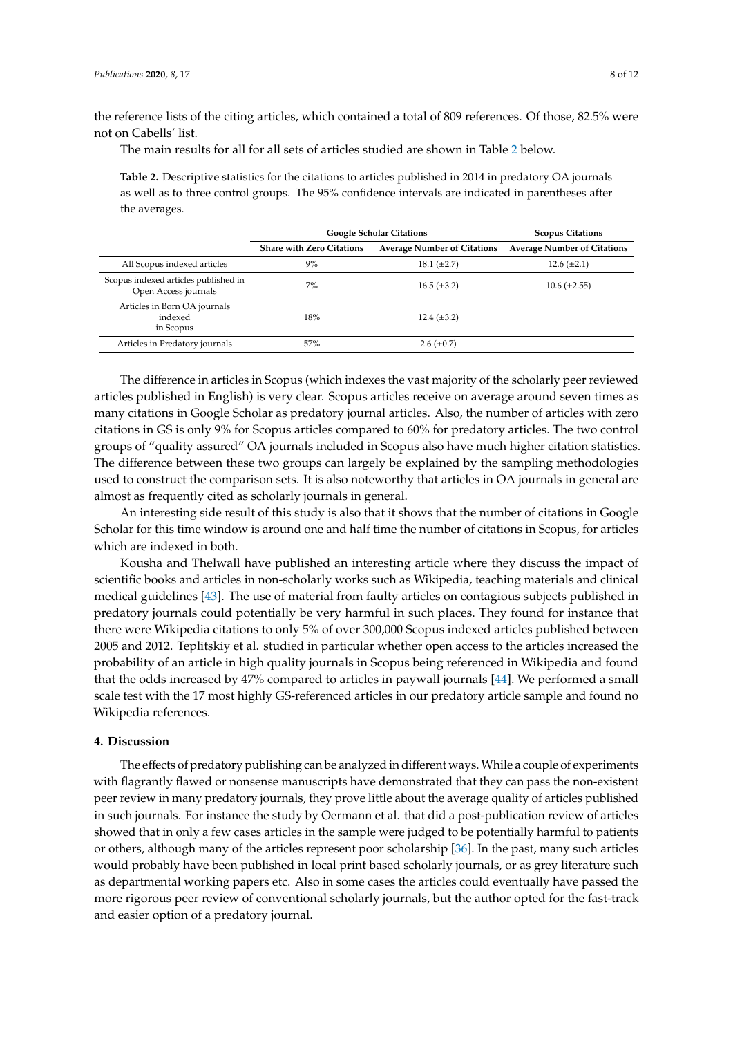the reference lists of the citing articles, which contained a total of 809 references. Of those, 82.5% were not on Cabells' list.

The main results for all for all sets of articles studied are shown in Table [2](#page-7-0) below.

<span id="page-7-0"></span>**Table 2.** Descriptive statistics for the citations to articles published in 2014 in predatory OA journals as well as to three control groups. The 95% confidence intervals are indicated in parentheses after the averages.

|                                                              | <b>Google Scholar Citations</b>  |                                    | <b>Scopus Citations</b>            |
|--------------------------------------------------------------|----------------------------------|------------------------------------|------------------------------------|
|                                                              | <b>Share with Zero Citations</b> | <b>Average Number of Citations</b> | <b>Average Number of Citations</b> |
| All Scopus indexed articles                                  | 9%                               | $18.1 (\pm 2.7)$                   | $12.6 (\pm 2.1)$                   |
| Scopus indexed articles published in<br>Open Access journals | 7%                               | $16.5 (\pm 3.2)$                   | $10.6 (\pm 2.55)$                  |
| Articles in Born OA journals<br>indexed<br>in Scopus         | 18%                              | $12.4 \ (\pm 3.2)$                 |                                    |
| Articles in Predatory journals                               | 57%                              | $2.6 \ (\pm 0.7)$                  |                                    |

The difference in articles in Scopus (which indexes the vast majority of the scholarly peer reviewed articles published in English) is very clear. Scopus articles receive on average around seven times as many citations in Google Scholar as predatory journal articles. Also, the number of articles with zero citations in GS is only 9% for Scopus articles compared to 60% for predatory articles. The two control groups of "quality assured" OA journals included in Scopus also have much higher citation statistics. The difference between these two groups can largely be explained by the sampling methodologies used to construct the comparison sets. It is also noteworthy that articles in OA journals in general are almost as frequently cited as scholarly journals in general.

An interesting side result of this study is also that it shows that the number of citations in Google Scholar for this time window is around one and half time the number of citations in Scopus, for articles which are indexed in both.

Kousha and Thelwall have published an interesting article where they discuss the impact of scientific books and articles in non-scholarly works such as Wikipedia, teaching materials and clinical medical guidelines [\[43\]](#page-11-5). The use of material from faulty articles on contagious subjects published in predatory journals could potentially be very harmful in such places. They found for instance that there were Wikipedia citations to only 5% of over 300,000 Scopus indexed articles published between 2005 and 2012. Teplitskiy et al. studied in particular whether open access to the articles increased the probability of an article in high quality journals in Scopus being referenced in Wikipedia and found that the odds increased by 47% compared to articles in paywall journals [\[44\]](#page-11-6). We performed a small scale test with the 17 most highly GS-referenced articles in our predatory article sample and found no Wikipedia references.

#### **4. Discussion**

The effects of predatory publishing can be analyzed in different ways.While a couple of experiments with flagrantly flawed or nonsense manuscripts have demonstrated that they can pass the non-existent peer review in many predatory journals, they prove little about the average quality of articles published in such journals. For instance the study by Oermann et al. that did a post-publication review of articles showed that in only a few cases articles in the sample were judged to be potentially harmful to patients or others, although many of the articles represent poor scholarship [\[36\]](#page-10-19). In the past, many such articles would probably have been published in local print based scholarly journals, or as grey literature such as departmental working papers etc. Also in some cases the articles could eventually have passed the more rigorous peer review of conventional scholarly journals, but the author opted for the fast-track and easier option of a predatory journal.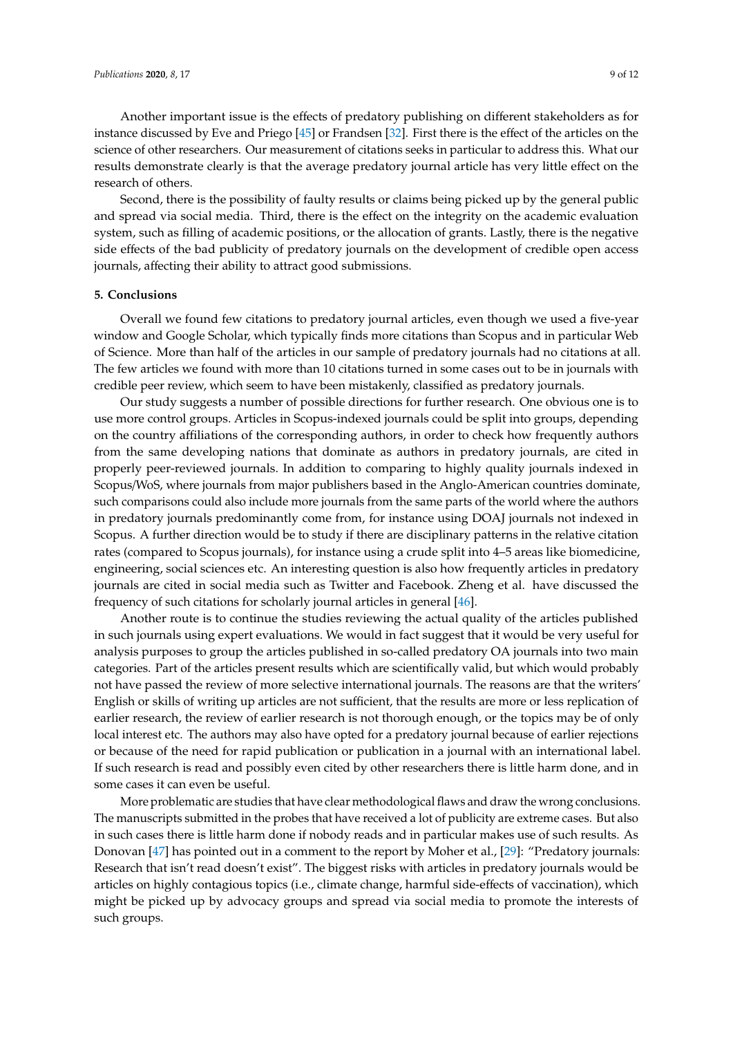Another important issue is the effects of predatory publishing on different stakeholders as for instance discussed by Eve and Priego [\[45\]](#page-11-7) or Frandsen [\[32\]](#page-10-15). First there is the effect of the articles on the science of other researchers. Our measurement of citations seeks in particular to address this. What our results demonstrate clearly is that the average predatory journal article has very little effect on the research of others.

Second, there is the possibility of faulty results or claims being picked up by the general public and spread via social media. Third, there is the effect on the integrity on the academic evaluation system, such as filling of academic positions, or the allocation of grants. Lastly, there is the negative side effects of the bad publicity of predatory journals on the development of credible open access journals, affecting their ability to attract good submissions.

#### **5. Conclusions**

Overall we found few citations to predatory journal articles, even though we used a five-year window and Google Scholar, which typically finds more citations than Scopus and in particular Web of Science. More than half of the articles in our sample of predatory journals had no citations at all. The few articles we found with more than 10 citations turned in some cases out to be in journals with credible peer review, which seem to have been mistakenly, classified as predatory journals.

Our study suggests a number of possible directions for further research. One obvious one is to use more control groups. Articles in Scopus-indexed journals could be split into groups, depending on the country affiliations of the corresponding authors, in order to check how frequently authors from the same developing nations that dominate as authors in predatory journals, are cited in properly peer-reviewed journals. In addition to comparing to highly quality journals indexed in Scopus/WoS, where journals from major publishers based in the Anglo-American countries dominate, such comparisons could also include more journals from the same parts of the world where the authors in predatory journals predominantly come from, for instance using DOAJ journals not indexed in Scopus. A further direction would be to study if there are disciplinary patterns in the relative citation rates (compared to Scopus journals), for instance using a crude split into 4–5 areas like biomedicine, engineering, social sciences etc. An interesting question is also how frequently articles in predatory journals are cited in social media such as Twitter and Facebook. Zheng et al. have discussed the frequency of such citations for scholarly journal articles in general [\[46\]](#page-11-8).

Another route is to continue the studies reviewing the actual quality of the articles published in such journals using expert evaluations. We would in fact suggest that it would be very useful for analysis purposes to group the articles published in so-called predatory OA journals into two main categories. Part of the articles present results which are scientifically valid, but which would probably not have passed the review of more selective international journals. The reasons are that the writers' English or skills of writing up articles are not sufficient, that the results are more or less replication of earlier research, the review of earlier research is not thorough enough, or the topics may be of only local interest etc. The authors may also have opted for a predatory journal because of earlier rejections or because of the need for rapid publication or publication in a journal with an international label. If such research is read and possibly even cited by other researchers there is little harm done, and in some cases it can even be useful.

More problematic are studies that have clear methodological flaws and draw the wrong conclusions. The manuscripts submitted in the probes that have received a lot of publicity are extreme cases. But also in such cases there is little harm done if nobody reads and in particular makes use of such results. As Donovan [\[47\]](#page-11-9) has pointed out in a comment to the report by Moher et al., [\[29\]](#page-10-12): "Predatory journals: Research that isn't read doesn't exist". The biggest risks with articles in predatory journals would be articles on highly contagious topics (i.e., climate change, harmful side-effects of vaccination), which might be picked up by advocacy groups and spread via social media to promote the interests of such groups.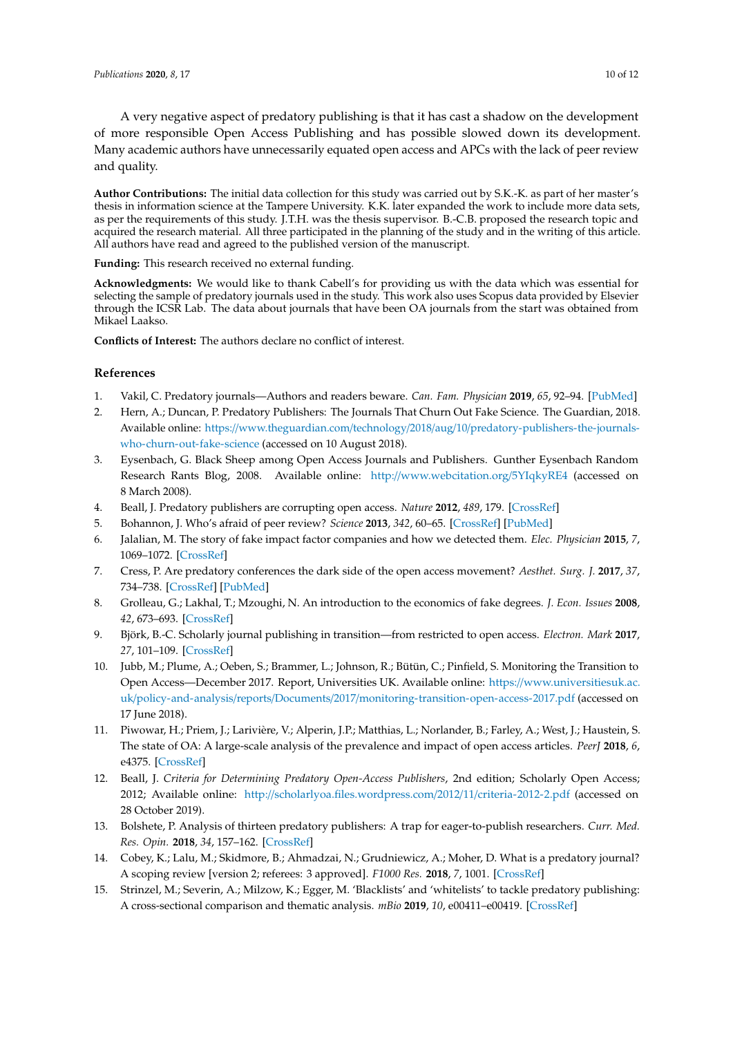A very negative aspect of predatory publishing is that it has cast a shadow on the development of more responsible Open Access Publishing and has possible slowed down its development. Many academic authors have unnecessarily equated open access and APCs with the lack of peer review and quality.

**Author Contributions:** The initial data collection for this study was carried out by S.K.-K. as part of her master's thesis in information science at the Tampere University. K.K. later expanded the work to include more data sets, as per the requirements of this study. J.T.H. was the thesis supervisor. B.-C.B. proposed the research topic and acquired the research material. All three participated in the planning of the study and in the writing of this article. All authors have read and agreed to the published version of the manuscript.

**Funding:** This research received no external funding.

**Acknowledgments:** We would like to thank Cabell's for providing us with the data which was essential for selecting the sample of predatory journals used in the study. This work also uses Scopus data provided by Elsevier through the ICSR Lab. The data about journals that have been OA journals from the start was obtained from Mikael Laakso.

**Conflicts of Interest:** The authors declare no conflict of interest.

## **References**

- <span id="page-9-0"></span>1. Vakil, C. Predatory journals—Authors and readers beware. *Can. Fam. Physician* **2019**, *65*, 92–94. [\[PubMed\]](http://www.ncbi.nlm.nih.gov/pubmed/30765346)
- <span id="page-9-1"></span>2. Hern, A.; Duncan, P. Predatory Publishers: The Journals That Churn Out Fake Science. The Guardian, 2018. Available online: https://www.theguardian.com/technology/2018/aug/10/[predatory-publishers-the-journals](https://www.theguardian.com/technology/2018/aug/10/predatory-publishers-the-journals-who-churn-out-fake-science)[who-churn-out-fake-science](https://www.theguardian.com/technology/2018/aug/10/predatory-publishers-the-journals-who-churn-out-fake-science) (accessed on 10 August 2018).
- <span id="page-9-2"></span>3. Eysenbach, G. Black Sheep among Open Access Journals and Publishers. Gunther Eysenbach Random Research Rants Blog, 2008. Available online: http://[www.webcitation.org](http://www.webcitation.org/5YIqkyRE4)/5YIqkyRE4 (accessed on 8 March 2008).
- <span id="page-9-3"></span>4. Beall, J. Predatory publishers are corrupting open access. *Nature* **2012**, *489*, 179. [\[CrossRef\]](http://dx.doi.org/10.1038/489179a)
- <span id="page-9-4"></span>5. Bohannon, J. Who's afraid of peer review? *Science* **2013**, *342*, 60–65. [\[CrossRef\]](http://dx.doi.org/10.1126/science.342.6154.60) [\[PubMed\]](http://www.ncbi.nlm.nih.gov/pubmed/24092725)
- <span id="page-9-5"></span>6. Jalalian, M. The story of fake impact factor companies and how we detected them. *Elec. Physician* **2015**, *7*, 1069–1072. [\[CrossRef\]](http://dx.doi.org/10.14661/2015.1069-1072)
- <span id="page-9-6"></span>7. Cress, P. Are predatory conferences the dark side of the open access movement? *Aesthet. Surg. J.* **2017**, *37*, 734–738. [\[CrossRef\]](http://dx.doi.org/10.1093/asj/sjw247) [\[PubMed\]](http://www.ncbi.nlm.nih.gov/pubmed/28158556)
- <span id="page-9-7"></span>8. Grolleau, G.; Lakhal, T.; Mzoughi, N. An introduction to the economics of fake degrees. *J. Econ. Issues* **2008**, *42*, 673–693. [\[CrossRef\]](http://dx.doi.org/10.1080/00213624.2008.11507173)
- <span id="page-9-8"></span>9. Björk, B.-C. Scholarly journal publishing in transition—from restricted to open access. *Electron. Mark* **2017**, *27*, 101–109. [\[CrossRef\]](http://dx.doi.org/10.1007/s12525-017-0249-2)
- <span id="page-9-9"></span>10. Jubb, M.; Plume, A.; Oeben, S.; Brammer, L.; Johnson, R.; Bütün, C.; Pinfield, S. Monitoring the Transition to Open Access—December 2017. Report, Universities UK. Available online: https://[www.universitiesuk.ac.](https://www.universitiesuk.ac.uk/policy-and-analysis/reports/Documents/2017/monitoring-transition-open-access-2017.pdf) uk/policy-and-analysis/reports/Documents/2017/[monitoring-transition-open-access-2017.pdf](https://www.universitiesuk.ac.uk/policy-and-analysis/reports/Documents/2017/monitoring-transition-open-access-2017.pdf) (accessed on 17 June 2018).
- <span id="page-9-10"></span>11. Piwowar, H.; Priem, J.; Larivière, V.; Alperin, J.P.; Matthias, L.; Norlander, B.; Farley, A.; West, J.; Haustein, S. The state of OA: A large-scale analysis of the prevalence and impact of open access articles. *PeerJ* **2018**, *6*, e4375. [\[CrossRef\]](http://dx.doi.org/10.7717/peerj.4375)
- <span id="page-9-11"></span>12. Beall, J. *Criteria for Determining Predatory Open-Access Publishers*, 2nd edition; Scholarly Open Access; 2012; Available online: http://[scholarlyoa.files.wordpress.com](http://scholarlyoa.files.wordpress.com/2012/11/criteria-2012-2.pdf)/2012/11/criteria-2012-2.pdf (accessed on 28 October 2019).
- <span id="page-9-12"></span>13. Bolshete, P. Analysis of thirteen predatory publishers: A trap for eager-to-publish researchers. *Curr. Med. Res. Opin.* **2018**, *34*, 157–162. [\[CrossRef\]](http://dx.doi.org/10.1080/03007995.2017.1358160)
- <span id="page-9-13"></span>14. Cobey, K.; Lalu, M.; Skidmore, B.; Ahmadzai, N.; Grudniewicz, A.; Moher, D. What is a predatory journal? A scoping review [version 2; referees: 3 approved]. *F1000 Res.* **2018**, *7*, 1001. [\[CrossRef\]](http://dx.doi.org/10.12688/f1000research.15256.1)
- <span id="page-9-14"></span>15. Strinzel, M.; Severin, A.; Milzow, K.; Egger, M. 'Blacklists' and 'whitelists' to tackle predatory publishing: A cross-sectional comparison and thematic analysis. *mBio* **2019**, *10*, e00411–e00419. [\[CrossRef\]](http://dx.doi.org/10.1128/mBio.00411-19)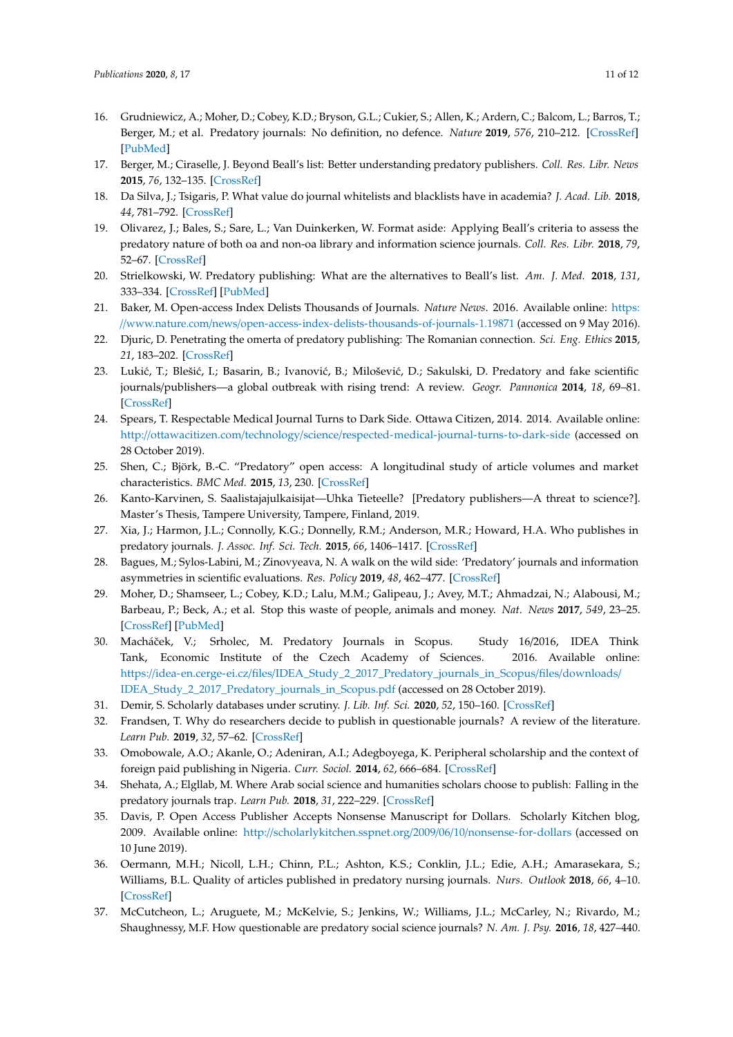- <span id="page-10-0"></span>16. Grudniewicz, A.; Moher, D.; Cobey, K.D.; Bryson, G.L.; Cukier, S.; Allen, K.; Ardern, C.; Balcom, L.; Barros, T.; Berger, M.; et al. Predatory journals: No definition, no defence. *Nature* **2019**, *576*, 210–212. [\[CrossRef\]](http://dx.doi.org/10.1038/d41586-019-03759-y) [\[PubMed\]](http://www.ncbi.nlm.nih.gov/pubmed/31827288)
- <span id="page-10-1"></span>17. Berger, M.; Ciraselle, J. Beyond Beall's list: Better understanding predatory publishers. *Coll. Res. Libr. News* **2015**, *76*, 132–135. [\[CrossRef\]](http://dx.doi.org/10.5860/crln.76.3.9277)
- 18. Da Silva, J.; Tsigaris, P. What value do journal whitelists and blacklists have in academia? *J. Acad. Lib.* **2018**, *44*, 781–792. [\[CrossRef\]](http://dx.doi.org/10.1016/j.acalib.2018.09.017)
- <span id="page-10-2"></span>19. Olivarez, J.; Bales, S.; Sare, L.; Van Duinkerken, W. Format aside: Applying Beall's criteria to assess the predatory nature of both oa and non-oa library and information science journals. *Coll. Res. Libr.* **2018**, *79*, 52–67. [\[CrossRef\]](http://dx.doi.org/10.5860/crl.79.1.52)
- <span id="page-10-3"></span>20. Strielkowski, W. Predatory publishing: What are the alternatives to Beall's list. *Am. J. Med.* **2018**, *131*, 333–334. [\[CrossRef\]](http://dx.doi.org/10.1016/j.amjmed.2017.10.054) [\[PubMed\]](http://www.ncbi.nlm.nih.gov/pubmed/29175236)
- <span id="page-10-4"></span>21. Baker, M. Open-access Index Delists Thousands of Journals. *Nature News*. 2016. Available online: [https:](https://www.nature.com/news/open-access-index-delists-thousands-of-journals-1.19871) //www.nature.com/news/[open-access-index-delists-thousands-of-journals-1.19871](https://www.nature.com/news/open-access-index-delists-thousands-of-journals-1.19871) (accessed on 9 May 2016).
- <span id="page-10-5"></span>22. Djuric, D. Penetrating the omerta of predatory publishing: The Romanian connection. *Sci. Eng. Ethics* **2015**, *21*, 183–202. [\[CrossRef\]](http://dx.doi.org/10.1007/s11948-014-9521-4)
- <span id="page-10-6"></span>23. Lukić, T.; Blešić, I.; Basarin, B.; Ivanović, B.; Milošević, D.; Sakulski, D. Predatory and fake scientific journals/publishers—a global outbreak with rising trend: A review. *Geogr. Pannonica* **2014**, *18*, 69–81. [\[CrossRef\]](http://dx.doi.org/10.5937/GeoPan1403069L)
- <span id="page-10-7"></span>24. Spears, T. Respectable Medical Journal Turns to Dark Side. Ottawa Citizen, 2014. 2014. Available online: http://ottawacitizen.com/technology/science/[respected-medical-journal-turns-to-dark-side](http://ottawacitizen.com/technology/science/respected-medical-journal-turns-to-dark-side) (accessed on 28 October 2019).
- <span id="page-10-8"></span>25. Shen, C.; Björk, B.-C. "Predatory" open access: A longitudinal study of article volumes and market characteristics. *BMC Med.* **2015**, *13*, 230. [\[CrossRef\]](http://dx.doi.org/10.1186/s12916-015-0469-2)
- <span id="page-10-9"></span>26. Kanto-Karvinen, S. Saalistajajulkaisijat—Uhka Tieteelle? [Predatory publishers—A threat to science?]. Master's Thesis, Tampere University, Tampere, Finland, 2019.
- <span id="page-10-10"></span>27. Xia, J.; Harmon, J.L.; Connolly, K.G.; Donnelly, R.M.; Anderson, M.R.; Howard, H.A. Who publishes in predatory journals. *J. Assoc. Inf. Sci. Tech.* **2015**, *66*, 1406–1417. [\[CrossRef\]](http://dx.doi.org/10.1002/asi.23265)
- <span id="page-10-11"></span>28. Bagues, M.; Sylos-Labini, M.; Zinovyeava, N. A walk on the wild side: 'Predatory' journals and information asymmetries in scientific evaluations. *Res. Policy* **2019**, *48*, 462–477. [\[CrossRef\]](http://dx.doi.org/10.1016/j.respol.2018.04.013)
- <span id="page-10-12"></span>29. Moher, D.; Shamseer, L.; Cobey, K.D.; Lalu, M.M.; Galipeau, J.; Avey, M.T.; Ahmadzai, N.; Alabousi, M.; Barbeau, P.; Beck, A.; et al. Stop this waste of people, animals and money. *Nat. News* **2017**, *549*, 23–25. [\[CrossRef\]](http://dx.doi.org/10.1038/549023a) [\[PubMed\]](http://www.ncbi.nlm.nih.gov/pubmed/28880300)
- <span id="page-10-13"></span>30. Macháˇcek, V.; Srholec, M. Predatory Journals in Scopus. Study 16/2016, IDEA Think Tank, Economic Institute of the Czech Academy of Sciences. 2016. Available online: https://idea-en.cerge-ei.cz/files/[IDEA\\_Study\\_2\\_2017\\_Predatory\\_journals\\_in\\_Scopus](https://idea-en.cerge-ei.cz/files/IDEA_Study_2_2017_Predatory_journals_in_Scopus/files/downloads/IDEA_Study_2_2017_Predatory_journals_in_Scopus.pdf)/files/downloads/ [IDEA\\_Study\\_2\\_2017\\_Predatory\\_journals\\_in\\_Scopus.pdf](https://idea-en.cerge-ei.cz/files/IDEA_Study_2_2017_Predatory_journals_in_Scopus/files/downloads/IDEA_Study_2_2017_Predatory_journals_in_Scopus.pdf) (accessed on 28 October 2019).
- <span id="page-10-14"></span>31. Demir, S. Scholarly databases under scrutiny. *J. Lib. Inf. Sci.* **2020**, *52*, 150–160. [\[CrossRef\]](http://dx.doi.org/10.1177/0961000618784159)
- <span id="page-10-15"></span>32. Frandsen, T. Why do researchers decide to publish in questionable journals? A review of the literature. *Learn Pub.* **2019**, *32*, 57–62. [\[CrossRef\]](http://dx.doi.org/10.1002/leap.1214)
- <span id="page-10-16"></span>33. Omobowale, A.O.; Akanle, O.; Adeniran, A.I.; Adegboyega, K. Peripheral scholarship and the context of foreign paid publishing in Nigeria. *Curr. Sociol.* **2014**, *62*, 666–684. [\[CrossRef\]](http://dx.doi.org/10.1177/0011392113508127)
- <span id="page-10-17"></span>34. Shehata, A.; Elgllab, M. Where Arab social science and humanities scholars choose to publish: Falling in the predatory journals trap. *Learn Pub.* **2018**, *31*, 222–229. [\[CrossRef\]](http://dx.doi.org/10.1002/leap.1167)
- <span id="page-10-18"></span>35. Davis, P. Open Access Publisher Accepts Nonsense Manuscript for Dollars. Scholarly Kitchen blog, 2009. Available online: http://[scholarlykitchen.sspnet.org](http://scholarlykitchen.sspnet.org/2009/06/10/nonsense-for-dollars)/2009/06/10/nonsense-for-dollars (accessed on 10 June 2019).
- <span id="page-10-19"></span>36. Oermann, M.H.; Nicoll, L.H.; Chinn, P.L.; Ashton, K.S.; Conklin, J.L.; Edie, A.H.; Amarasekara, S.; Williams, B.L. Quality of articles published in predatory nursing journals. *Nurs. Outlook* **2018**, *66*, 4–10. [\[CrossRef\]](http://dx.doi.org/10.1016/j.outlook.2017.05.005)
- <span id="page-10-20"></span>37. McCutcheon, L.; Aruguete, M.; McKelvie, S.; Jenkins, W.; Williams, J.L.; McCarley, N.; Rivardo, M.; Shaughnessy, M.F. How questionable are predatory social science journals? *N. Am. J. Psy.* **2016**, *18*, 427–440.